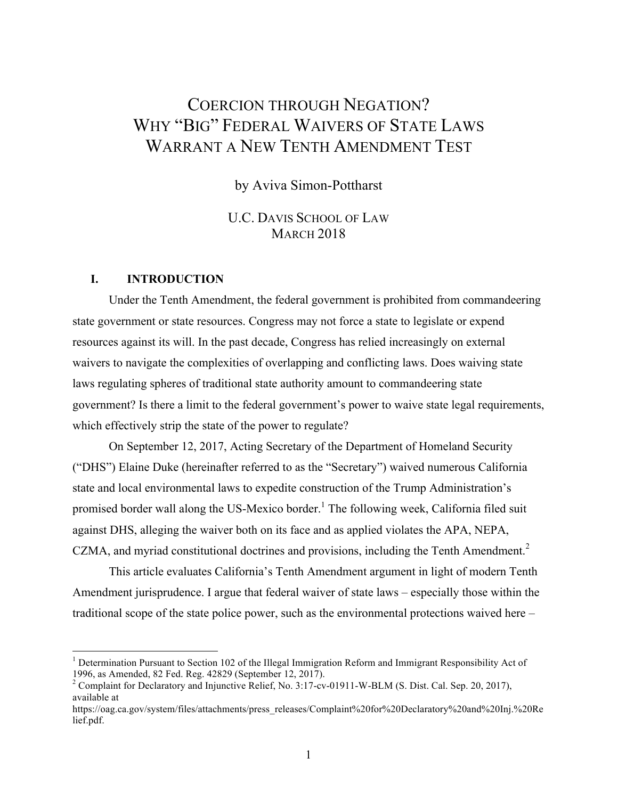# COERCION THROUGH NEGATION? WHY "BIG" FEDERAL WAIVERS OF STATE LAWS WARRANT A NEW TENTH AMENDMENT TEST

by Aviva Simon-Pottharst

U.C. DAVIS SCHOOL OF LAW **MARCH 2018** 

### **I. INTRODUCTION**

Under the Tenth Amendment, the federal government is prohibited from commandeering state government or state resources. Congress may not force a state to legislate or expend resources against its will. In the past decade, Congress has relied increasingly on external waivers to navigate the complexities of overlapping and conflicting laws. Does waiving state laws regulating spheres of traditional state authority amount to commandeering state government? Is there a limit to the federal government's power to waive state legal requirements, which effectively strip the state of the power to regulate?

On September 12, 2017, Acting Secretary of the Department of Homeland Security ("DHS") Elaine Duke (hereinafter referred to as the "Secretary") waived numerous California state and local environmental laws to expedite construction of the Trump Administration's promised border wall along the US-Mexico border.<sup>1</sup> The following week, California filed suit against DHS, alleging the waiver both on its face and as applied violates the APA, NEPA, CZMA, and myriad constitutional doctrines and provisions, including the Tenth Amendment.<sup>2</sup>

This article evaluates California's Tenth Amendment argument in light of modern Tenth Amendment jurisprudence. I argue that federal waiver of state laws – especially those within the traditional scope of the state police power, such as the environmental protections waived here –

<sup>&</sup>lt;sup>1</sup> Determination Pursuant to Section 102 of the Illegal Immigration Reform and Immigrant Responsibility Act of 1996, as Amended, 82 Fed. Reg. 42829 (September 12, 2017).<br><sup>2</sup> Complaint for Declaratory and Injunctive Relief, No. 3:17-cv-01911-W-BLM (S. Dist. Cal. Sep. 20, 2017),

available at

https://oag.ca.gov/system/files/attachments/press\_releases/Complaint%20for%20Declaratory%20and%20Inj.%20Re lief.pdf.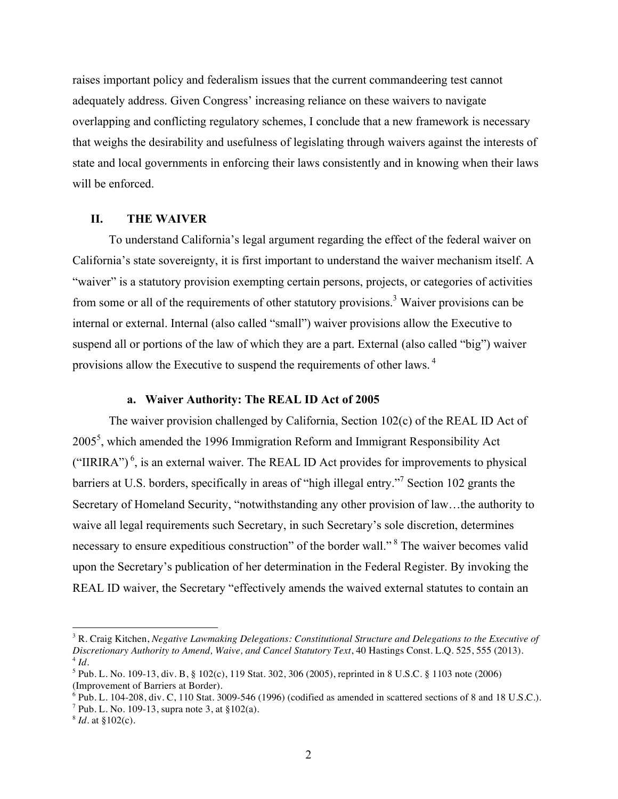raises important policy and federalism issues that the current commandeering test cannot adequately address. Given Congress' increasing reliance on these waivers to navigate overlapping and conflicting regulatory schemes, I conclude that a new framework is necessary that weighs the desirability and usefulness of legislating through waivers against the interests of state and local governments in enforcing their laws consistently and in knowing when their laws will be enforced.

# **II. THE WAIVER**

To understand California's legal argument regarding the effect of the federal waiver on California's state sovereignty, it is first important to understand the waiver mechanism itself. A "waiver" is a statutory provision exempting certain persons, projects, or categories of activities from some or all of the requirements of other statutory provisions.<sup>3</sup> Waiver provisions can be internal or external. Internal (also called "small") waiver provisions allow the Executive to suspend all or portions of the law of which they are a part. External (also called "big") waiver provisions allow the Executive to suspend the requirements of other laws. <sup>4</sup>

### **a. Waiver Authority: The REAL ID Act of 2005**

The waiver provision challenged by California, Section 102(c) of the REAL ID Act of  $2005<sup>5</sup>$ , which amended the 1996 Immigration Reform and Immigrant Responsibility Act ("IIRIRA")<sup>6</sup>, is an external waiver. The REAL ID Act provides for improvements to physical barriers at U.S. borders, specifically in areas of "high illegal entry."7 Section 102 grants the Secretary of Homeland Security, "notwithstanding any other provision of law…the authority to waive all legal requirements such Secretary, in such Secretary's sole discretion, determines necessary to ensure expeditious construction" of the border wall."<sup>8</sup> The waiver becomes valid upon the Secretary's publication of her determination in the Federal Register. By invoking the REAL ID waiver, the Secretary "effectively amends the waived external statutes to contain an

<sup>3</sup> R. Craig Kitchen, *Negative Lawmaking Delegations: Constitutional Structure and Delegations to the Executive of Discretionary Authority to Amend, Waive, and Cancel Statutory Text*, 40 Hastings Const. L.Q. 525, 555 (2013).  $4$  *Id.* 

<sup>5</sup> Pub. L. No. 109-13, div. B, § 102(c), 119 Stat. 302, 306 (2005), reprinted in 8 U.S.C. § 1103 note (2006) (Improvement of Barriers at Border).

 $6$  Pub. L. 104-208, div. C, 110 Stat. 3009-546 (1996) (codified as amended in scattered sections of 8 and 18 U.S.C.).

<sup>&</sup>lt;sup>7</sup> Pub. L. No. 109-13, supra note 3, at  $$102(a)$ .

<sup>8</sup> *Id.* at §102(c).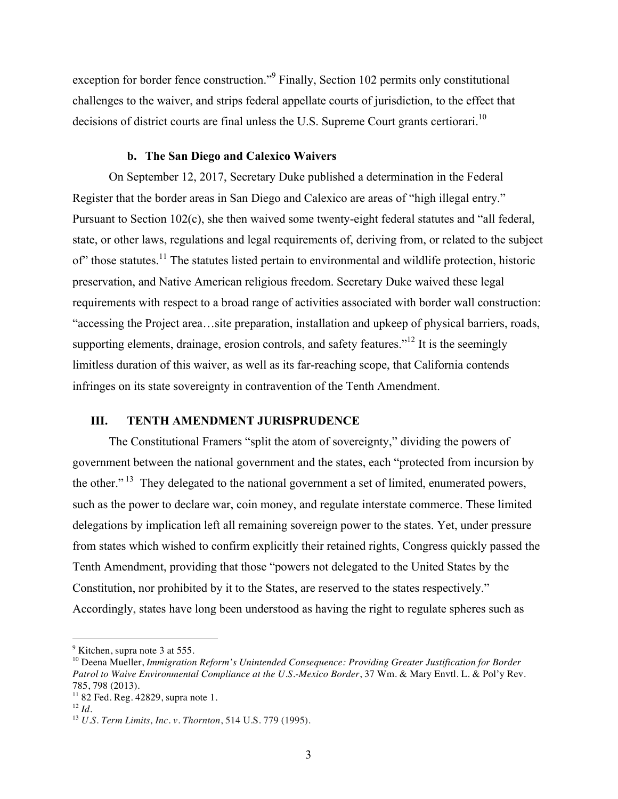exception for border fence construction."<sup>9</sup> Finally, Section 102 permits only constitutional challenges to the waiver, and strips federal appellate courts of jurisdiction, to the effect that decisions of district courts are final unless the U.S. Supreme Court grants certiorari.<sup>10</sup>

# **b. The San Diego and Calexico Waivers**

On September 12, 2017, Secretary Duke published a determination in the Federal Register that the border areas in San Diego and Calexico are areas of "high illegal entry." Pursuant to Section  $102(c)$ , she then waived some twenty-eight federal statutes and "all federal, state, or other laws, regulations and legal requirements of, deriving from, or related to the subject of" those statutes.<sup>11</sup> The statutes listed pertain to environmental and wildlife protection, historic preservation, and Native American religious freedom. Secretary Duke waived these legal requirements with respect to a broad range of activities associated with border wall construction: "accessing the Project area…site preparation, installation and upkeep of physical barriers, roads, supporting elements, drainage, erosion controls, and safety features."<sup>12</sup> It is the seemingly limitless duration of this waiver, as well as its far-reaching scope, that California contends infringes on its state sovereignty in contravention of the Tenth Amendment.

#### **III. TENTH AMENDMENT JURISPRUDENCE**

The Constitutional Framers "split the atom of sovereignty," dividing the powers of government between the national government and the states, each "protected from incursion by the other." <sup>13</sup> They delegated to the national government a set of limited, enumerated powers, such as the power to declare war, coin money, and regulate interstate commerce. These limited delegations by implication left all remaining sovereign power to the states. Yet, under pressure from states which wished to confirm explicitly their retained rights, Congress quickly passed the Tenth Amendment, providing that those "powers not delegated to the United States by the Constitution, nor prohibited by it to the States, are reserved to the states respectively." Accordingly, states have long been understood as having the right to regulate spheres such as

 $<sup>9</sup>$  Kitchen, supra note 3 at 555.</sup>

<sup>10</sup> Deena Mueller, *Immigration Reform's Unintended Consequence: Providing Greater Justification for Border Patrol to Waive Environmental Compliance at the U.S.-Mexico Border*, 37 Wm. & Mary Envtl. L. & Pol'y Rev. 785, 798 (2013).

<sup>&</sup>lt;sup>11</sup> 82 Fed. Reg. 42829, supra note 1.<br><sup>12</sup> *Id.* 

<sup>12</sup> *Id*. 13 *U.S. Term Limits, Inc. v. Thornton*, 514 U.S. 779 (1995).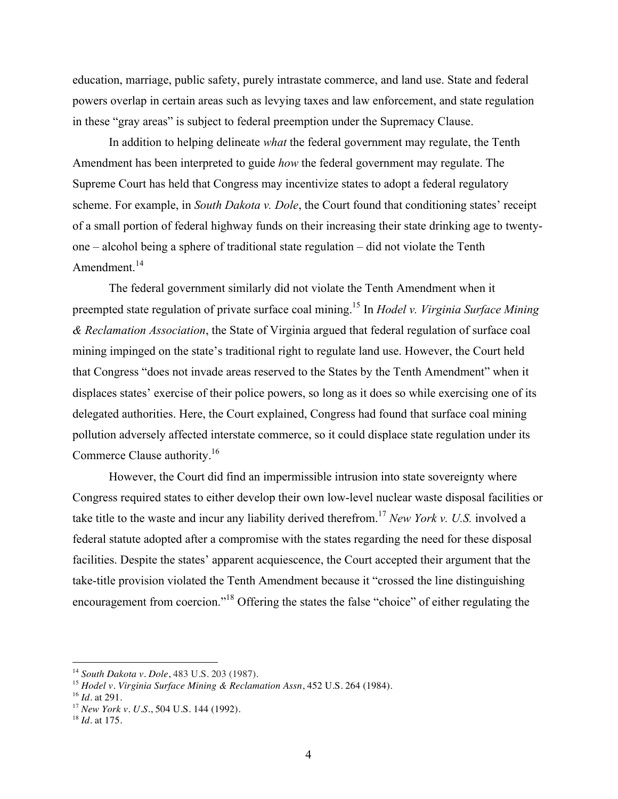education, marriage, public safety, purely intrastate commerce, and land use. State and federal powers overlap in certain areas such as levying taxes and law enforcement, and state regulation in these "gray areas" is subject to federal preemption under the Supremacy Clause.

In addition to helping delineate *what* the federal government may regulate, the Tenth Amendment has been interpreted to guide *how* the federal government may regulate. The Supreme Court has held that Congress may incentivize states to adopt a federal regulatory scheme. For example, in *South Dakota v. Dole*, the Court found that conditioning states' receipt of a small portion of federal highway funds on their increasing their state drinking age to twentyone – alcohol being a sphere of traditional state regulation – did not violate the Tenth Amendment.<sup>14</sup>

The federal government similarly did not violate the Tenth Amendment when it preempted state regulation of private surface coal mining. <sup>15</sup> In *Hodel v. Virginia Surface Mining & Reclamation Association*, the State of Virginia argued that federal regulation of surface coal mining impinged on the state's traditional right to regulate land use. However, the Court held that Congress "does not invade areas reserved to the States by the Tenth Amendment" when it displaces states' exercise of their police powers, so long as it does so while exercising one of its delegated authorities. Here, the Court explained, Congress had found that surface coal mining pollution adversely affected interstate commerce, so it could displace state regulation under its Commerce Clause authority. 16

However, the Court did find an impermissible intrusion into state sovereignty where Congress required states to either develop their own low-level nuclear waste disposal facilities or take title to the waste and incur any liability derived therefrom. <sup>17</sup> *New York v. U.S.* involved a federal statute adopted after a compromise with the states regarding the need for these disposal facilities. Despite the states' apparent acquiescence, the Court accepted their argument that the take-title provision violated the Tenth Amendment because it "crossed the line distinguishing encouragement from coercion."<sup>18</sup> Offering the states the false "choice" of either regulating the

<sup>14</sup> *South Dakota v. Dole*, 483 U.S. 203 (1987).

<sup>15</sup> *Hodel v. Virginia Surface Mining & Reclamation Assn*, 452 U.S. 264 (1984).

<sup>16</sup> *Id.* at 291.

<sup>17</sup> *New York v. U.S.*, 504 U.S. 144 (1992).

<sup>18</sup> *Id.* at 175.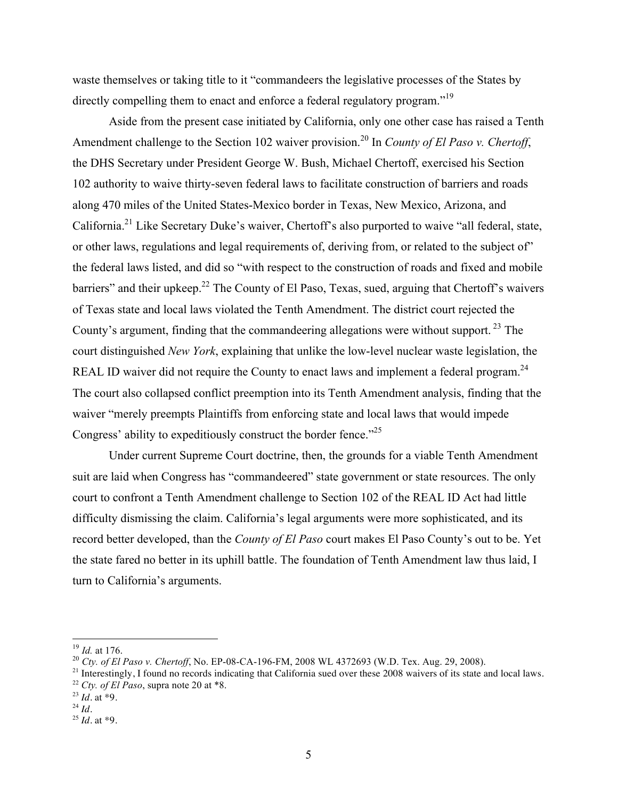waste themselves or taking title to it "commandeers the legislative processes of the States by directly compelling them to enact and enforce a federal regulatory program.<sup>"19</sup>

Aside from the present case initiated by California, only one other case has raised a Tenth Amendment challenge to the Section 102 waiver provision.<sup>20</sup> In *County of El Paso v. Chertoff*, the DHS Secretary under President George W. Bush, Michael Chertoff, exercised his Section 102 authority to waive thirty-seven federal laws to facilitate construction of barriers and roads along 470 miles of the United States-Mexico border in Texas, New Mexico, Arizona, and California.21 Like Secretary Duke's waiver, Chertoff's also purported to waive "all federal, state, or other laws, regulations and legal requirements of, deriving from, or related to the subject of" the federal laws listed, and did so "with respect to the construction of roads and fixed and mobile barriers" and their upkeep.<sup>22</sup> The County of El Paso, Texas, sued, arguing that Chertoff's waivers of Texas state and local laws violated the Tenth Amendment. The district court rejected the County's argument, finding that the commandeering allegations were without support.<sup>23</sup> The court distinguished *New York*, explaining that unlike the low-level nuclear waste legislation, the REAL ID waiver did not require the County to enact laws and implement a federal program.<sup>24</sup> The court also collapsed conflict preemption into its Tenth Amendment analysis, finding that the waiver "merely preempts Plaintiffs from enforcing state and local laws that would impede Congress' ability to expeditiously construct the border fence."<sup>25</sup>

Under current Supreme Court doctrine, then, the grounds for a viable Tenth Amendment suit are laid when Congress has "commandeered" state government or state resources. The only court to confront a Tenth Amendment challenge to Section 102 of the REAL ID Act had little difficulty dismissing the claim. California's legal arguments were more sophisticated, and its record better developed, than the *County of El Paso* court makes El Paso County's out to be. Yet the state fared no better in its uphill battle. The foundation of Tenth Amendment law thus laid, I turn to California's arguments.

<sup>&</sup>lt;sup>19</sup> *Id.* at 176.<br><sup>20</sup> *Cty. of El Paso v. Chertoff*, No. EP-08-CA-196-FM, 2008 WL 4372693 (W.D. Tex. Aug. 29, 2008).

<sup>&</sup>lt;sup>21</sup> Interestingly, I found no records indicating that California sued over these 2008 waivers of its state and local laws. <sup>22</sup> *Cty. of El Paso*, supra note 20 at \*8.

 $^{23}$  *Id.* at  $*9$ .  $^{24}$  *Id.* 

<sup>25</sup> *Id.* at \*9.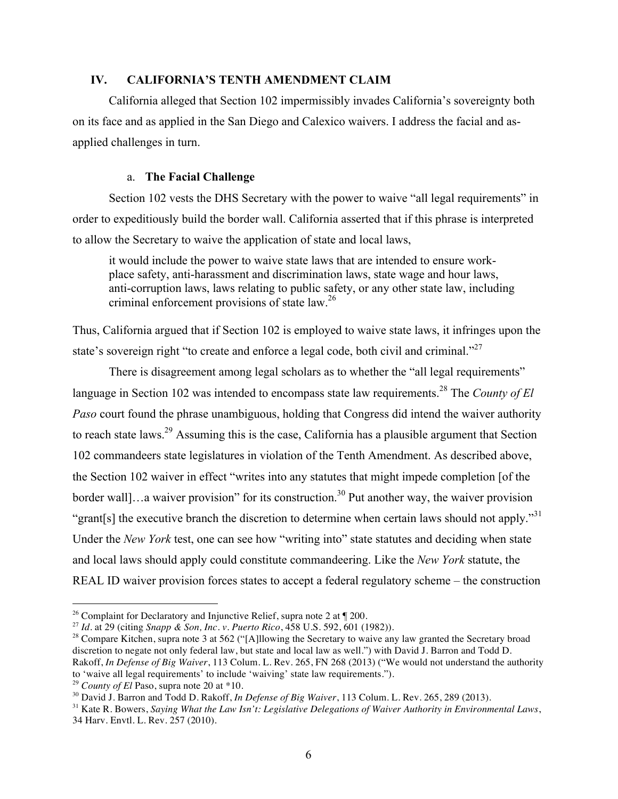# **IV. CALIFORNIA'S TENTH AMENDMENT CLAIM**

California alleged that Section 102 impermissibly invades California's sovereignty both on its face and as applied in the San Diego and Calexico waivers. I address the facial and asapplied challenges in turn.

### a. **The Facial Challenge**

Section 102 vests the DHS Secretary with the power to waive "all legal requirements" in order to expeditiously build the border wall. California asserted that if this phrase is interpreted to allow the Secretary to waive the application of state and local laws,

it would include the power to waive state laws that are intended to ensure workplace safety, anti-harassment and discrimination laws, state wage and hour laws, anti-corruption laws, laws relating to public safety, or any other state law, including criminal enforcement provisions of state law.<sup>26</sup>

Thus, California argued that if Section 102 is employed to waive state laws, it infringes upon the state's sovereign right "to create and enforce a legal code, both civil and criminal."<sup>27</sup>

There is disagreement among legal scholars as to whether the "all legal requirements" language in Section 102 was intended to encompass state law requirements.<sup>28</sup> The *County of El Paso* court found the phrase unambiguous, holding that Congress did intend the waiver authority to reach state laws.29 Assuming this is the case, California has a plausible argument that Section 102 commandeers state legislatures in violation of the Tenth Amendment. As described above, the Section 102 waiver in effect "writes into any statutes that might impede completion [of the border wall]...a waiver provision" for its construction.<sup>30</sup> Put another way, the waiver provision "grant[s] the executive branch the discretion to determine when certain laws should not apply."<sup>31</sup> Under the *New York* test, one can see how "writing into" state statutes and deciding when state and local laws should apply could constitute commandeering. Like the *New York* statute, the REAL ID waiver provision forces states to accept a federal regulatory scheme – the construction

<sup>29</sup> *County of El* Paso, supra note 20 at \*10.

<sup>&</sup>lt;sup>26</sup> Complaint for Declaratory and Injunctive Relief, supra note 2 at  $\P$  200.

<sup>27</sup> *Id.* at 29 (citing *Snapp & Son, Inc. v. Puerto Rico*, 458 U.S. 592, 601 (1982)).

<sup>&</sup>lt;sup>28</sup> Compare Kitchen, supra note 3 at 562 ("[A]llowing the Secretary to waive any law granted the Secretary broad discretion to negate not only federal law, but state and local law as well.") with David J. Barron and Todd D. Rakoff, *In Defense of Big Waiver*, 113 Colum. L. Rev. 265, FN 268 (2013) ("We would not understand the authority to 'waive all legal requirements' to include 'waiving' state law requirements.").

<sup>30</sup> David J. Barron and Todd D. Rakoff, *In Defense of Big Waiver*, 113 Colum. L. Rev. 265, 289 (2013).

<sup>31</sup> Kate R. Bowers, *Saying What the Law Isn't: Legislative Delegations of Waiver Authority in Environmental Laws*, 34 Harv. Envtl. L. Rev. 257 (2010).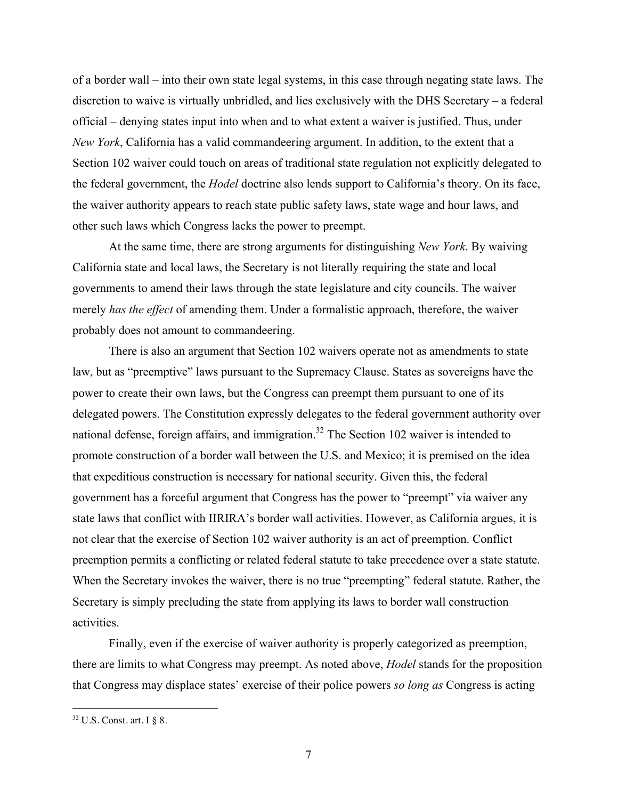of a border wall – into their own state legal systems, in this case through negating state laws. The discretion to waive is virtually unbridled, and lies exclusively with the DHS Secretary – a federal official – denying states input into when and to what extent a waiver is justified. Thus, under *New York*, California has a valid commandeering argument. In addition, to the extent that a Section 102 waiver could touch on areas of traditional state regulation not explicitly delegated to the federal government, the *Hodel* doctrine also lends support to California's theory. On its face, the waiver authority appears to reach state public safety laws, state wage and hour laws, and other such laws which Congress lacks the power to preempt.

At the same time, there are strong arguments for distinguishing *New York*. By waiving California state and local laws, the Secretary is not literally requiring the state and local governments to amend their laws through the state legislature and city councils. The waiver merely *has the effect* of amending them. Under a formalistic approach, therefore, the waiver probably does not amount to commandeering.

There is also an argument that Section 102 waivers operate not as amendments to state law, but as "preemptive" laws pursuant to the Supremacy Clause. States as sovereigns have the power to create their own laws, but the Congress can preempt them pursuant to one of its delegated powers. The Constitution expressly delegates to the federal government authority over national defense, foreign affairs, and immigration.<sup>32</sup> The Section 102 waiver is intended to promote construction of a border wall between the U.S. and Mexico; it is premised on the idea that expeditious construction is necessary for national security. Given this, the federal government has a forceful argument that Congress has the power to "preempt" via waiver any state laws that conflict with IIRIRA's border wall activities. However, as California argues, it is not clear that the exercise of Section 102 waiver authority is an act of preemption. Conflict preemption permits a conflicting or related federal statute to take precedence over a state statute. When the Secretary invokes the waiver, there is no true "preempting" federal statute. Rather, the Secretary is simply precluding the state from applying its laws to border wall construction activities.

Finally, even if the exercise of waiver authority is properly categorized as preemption, there are limits to what Congress may preempt. As noted above, *Hodel* stands for the proposition that Congress may displace states' exercise of their police powers *so long as* Congress is acting

 $32$  U.S. Const. art. I § 8.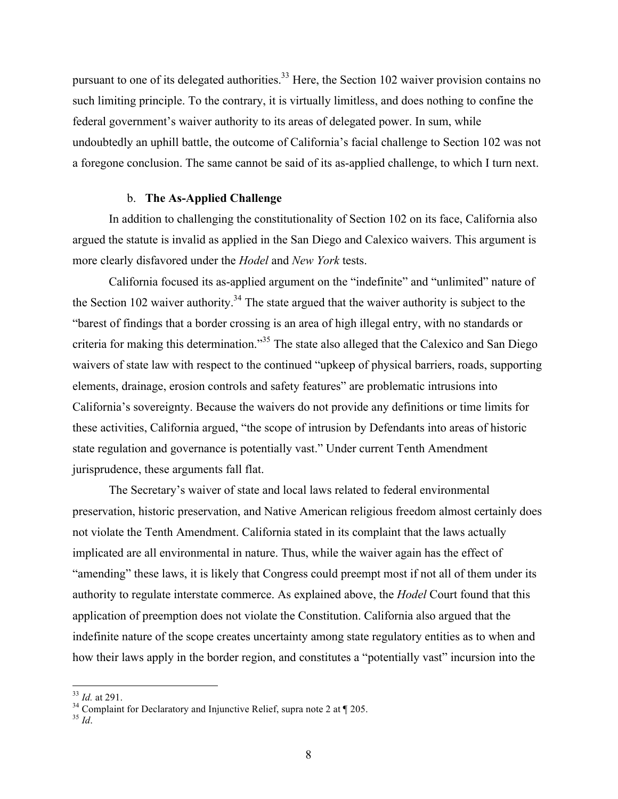pursuant to one of its delegated authorities.<sup>33</sup> Here, the Section 102 waiver provision contains no such limiting principle. To the contrary, it is virtually limitless, and does nothing to confine the federal government's waiver authority to its areas of delegated power. In sum, while undoubtedly an uphill battle, the outcome of California's facial challenge to Section 102 was not a foregone conclusion. The same cannot be said of its as-applied challenge, to which I turn next.

#### b. **The As-Applied Challenge**

In addition to challenging the constitutionality of Section 102 on its face, California also argued the statute is invalid as applied in the San Diego and Calexico waivers. This argument is more clearly disfavored under the *Hodel* and *New York* tests.

California focused its as-applied argument on the "indefinite" and "unlimited" nature of the Section 102 waiver authority.<sup>34</sup> The state argued that the waiver authority is subject to the "barest of findings that a border crossing is an area of high illegal entry, with no standards or criteria for making this determination."<sup>35</sup> The state also alleged that the Calexico and San Diego waivers of state law with respect to the continued "upkeep of physical barriers, roads, supporting elements, drainage, erosion controls and safety features" are problematic intrusions into California's sovereignty. Because the waivers do not provide any definitions or time limits for these activities, California argued, "the scope of intrusion by Defendants into areas of historic state regulation and governance is potentially vast." Under current Tenth Amendment jurisprudence, these arguments fall flat.

The Secretary's waiver of state and local laws related to federal environmental preservation, historic preservation, and Native American religious freedom almost certainly does not violate the Tenth Amendment. California stated in its complaint that the laws actually implicated are all environmental in nature. Thus, while the waiver again has the effect of "amending" these laws, it is likely that Congress could preempt most if not all of them under its authority to regulate interstate commerce. As explained above, the *Hodel* Court found that this application of preemption does not violate the Constitution. California also argued that the indefinite nature of the scope creates uncertainty among state regulatory entities as to when and how their laws apply in the border region, and constitutes a "potentially vast" incursion into the

<sup>&</sup>lt;sup>33</sup> *Id.* at 291. Complaint for Declaratory and Injunctive Relief, supra note 2 at ¶ 205.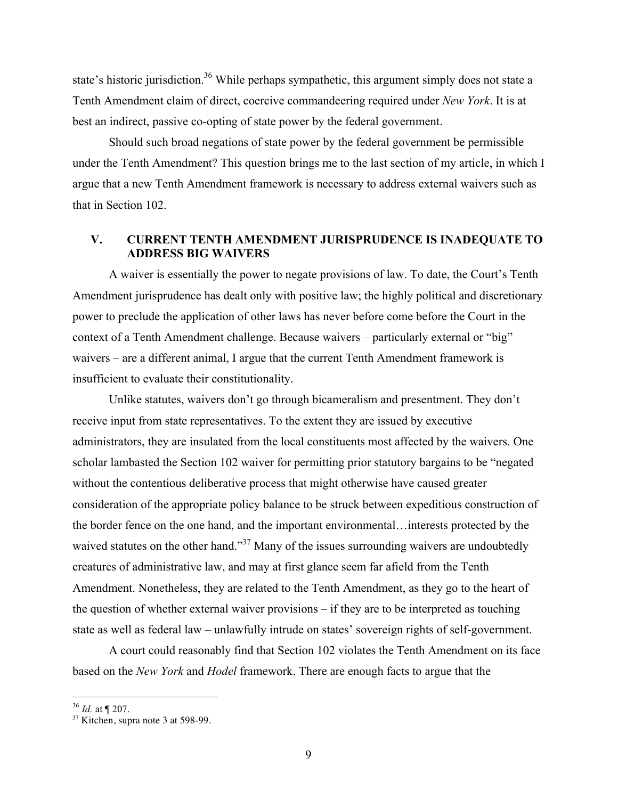state's historic jurisdiction.<sup>36</sup> While perhaps sympathetic, this argument simply does not state a Tenth Amendment claim of direct, coercive commandeering required under *New York*. It is at best an indirect, passive co-opting of state power by the federal government.

Should such broad negations of state power by the federal government be permissible under the Tenth Amendment? This question brings me to the last section of my article, in which I argue that a new Tenth Amendment framework is necessary to address external waivers such as that in Section 102.

# **V. CURRENT TENTH AMENDMENT JURISPRUDENCE IS INADEQUATE TO ADDRESS BIG WAIVERS**

A waiver is essentially the power to negate provisions of law. To date, the Court's Tenth Amendment jurisprudence has dealt only with positive law; the highly political and discretionary power to preclude the application of other laws has never before come before the Court in the context of a Tenth Amendment challenge. Because waivers – particularly external or "big" waivers – are a different animal, I argue that the current Tenth Amendment framework is insufficient to evaluate their constitutionality.

Unlike statutes, waivers don't go through bicameralism and presentment. They don't receive input from state representatives. To the extent they are issued by executive administrators, they are insulated from the local constituents most affected by the waivers. One scholar lambasted the Section 102 waiver for permitting prior statutory bargains to be "negated without the contentious deliberative process that might otherwise have caused greater consideration of the appropriate policy balance to be struck between expeditious construction of the border fence on the one hand, and the important environmental…interests protected by the waived statutes on the other hand."<sup>37</sup> Many of the issues surrounding waivers are undoubtedly creatures of administrative law, and may at first glance seem far afield from the Tenth Amendment. Nonetheless, they are related to the Tenth Amendment, as they go to the heart of the question of whether external waiver provisions – if they are to be interpreted as touching state as well as federal law – unlawfully intrude on states' sovereign rights of self-government.

A court could reasonably find that Section 102 violates the Tenth Amendment on its face based on the *New York* and *Hodel* framework. There are enough facts to argue that the

 <sup>36</sup> *Id.* at ¶ 207.

 $37$  Kitchen, supra note 3 at 598-99.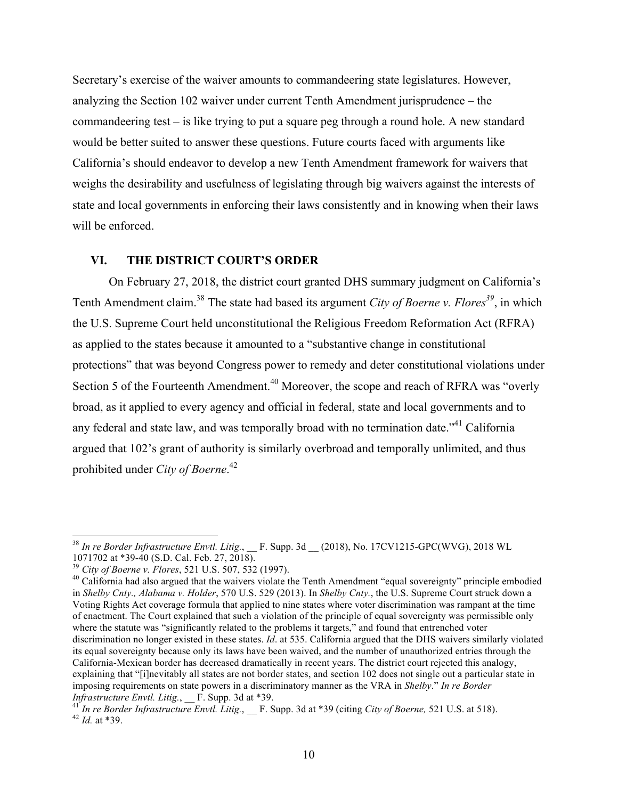Secretary's exercise of the waiver amounts to commandeering state legislatures. However, analyzing the Section 102 waiver under current Tenth Amendment jurisprudence – the commandeering test – is like trying to put a square peg through a round hole. A new standard would be better suited to answer these questions. Future courts faced with arguments like California's should endeavor to develop a new Tenth Amendment framework for waivers that weighs the desirability and usefulness of legislating through big waivers against the interests of state and local governments in enforcing their laws consistently and in knowing when their laws will be enforced.

# **VI. THE DISTRICT COURT'S ORDER**

On February 27, 2018, the district court granted DHS summary judgment on California's Tenth Amendment claim.<sup>38</sup> The state had based its argument *City of Boerne v. Flores*<sup>39</sup>, in which the U.S. Supreme Court held unconstitutional the Religious Freedom Reformation Act (RFRA) as applied to the states because it amounted to a "substantive change in constitutional protections" that was beyond Congress power to remedy and deter constitutional violations under Section 5 of the Fourteenth Amendment.<sup>40</sup> Moreover, the scope and reach of RFRA was "overly broad, as it applied to every agency and official in federal, state and local governments and to any federal and state law, and was temporally broad with no termination date.<sup>"41</sup> California argued that 102's grant of authority is similarly overbroad and temporally unlimited, and thus prohibited under *City of Boerne*. 42

<sup>&</sup>lt;sup>38</sup> *In re Border Infrastructure Envtl. Litig.*, \_\_ F. Supp. 3d \_\_ (2018), No. 17CV1215-GPC(WVG), 2018 WL 1071702 at \*39-40 (S.D. Cal. Feb. 27, 2018).

<sup>&</sup>lt;sup>39</sup> *City of Boerne v. Flores*, 521 U.S. 507, 532 (1997). <sup>40</sup> California had also argued that the waivers violate the Tenth Amendment "equal sovereignty" principle embodied  $\frac{1}{2}$ in *Shelby Cnty., Alabama v. Holder*, 570 U.S. 529 (2013). In *Shelby Cnty.*, the U.S. Supreme Court struck down a Voting Rights Act coverage formula that applied to nine states where voter discrimination was rampant at the time of enactment. The Court explained that such a violation of the principle of equal sovereignty was permissible only where the statute was "significantly related to the problems it targets," and found that entrenched voter discrimination no longer existed in these states. *Id*. at 535. California argued that the DHS waivers similarly violated its equal sovereignty because only its laws have been waived, and the number of unauthorized entries through the California-Mexican border has decreased dramatically in recent years. The district court rejected this analogy, explaining that "[i]nevitably all states are not border states, and section 102 does not single out a particular state in imposing requirements on state powers in a discriminatory manner as the VRA in *Shelby*." *In re Border* 

*Infrastructure Envtl. Litig.*, \_\_ F. Supp. 3d at \*39.<br><sup>41</sup> *In re Border Infrastructure Envtl. Litig.*, \_\_ F. Supp. 3d at \*39 (citing *City of Boerne,* 521 U.S. at 518).<br><sup>42</sup> *Id.* at \*39.